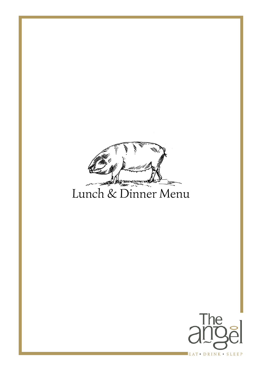

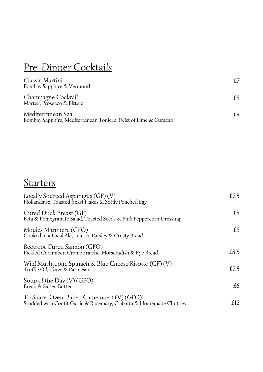## Pre-Dinner Cocktails

| Classic Martini<br>Bombay Sapphire & Vermouth                                        |    |
|--------------------------------------------------------------------------------------|----|
| Champagne Cocktail<br>Martell, Prosecco & Bitters                                    |    |
| Mediterranean Sea<br>Bombay Sapphire, Mediterranean Tonic, a Twist of Lime & Curacao | £8 |

## **Starters**

| Locally Sourced Asparagus (GF) (V)<br>Hollandaise, Toasted Yeast Flakes & Softly Poached Egg                   | £7.5 |
|----------------------------------------------------------------------------------------------------------------|------|
| Cured Duck Breast (GF)<br>Feta & Pomegranate Salad, Toasted Seeds & Pink Peppercorn Dressing                   | £8   |
| Moules Mariniere (GFO)<br>Cooked in a Local Ale, Lemon, Parsley & Crusty Bread                                 | £8   |
| Beetroot Cured Salmon (GFO)<br>Pickled Cucumber, Creme Fraiche, Horseradish & Rye Bread                        | £8.5 |
| Wild Mushroom, Spinach & Blue Cheese Risotto (GF) (V)<br>Truffle Oil, Chive & Parmesan                         | £7.5 |
| Soup of the Day (V) (GFO)<br>Bread & Salted Butter                                                             | £6   |
| To Share: Oven-Baked Camembert (V) (GFO)<br>Studded with Confit Garlic & Rosemary, Ciabatta & Homemade Chutney | £12  |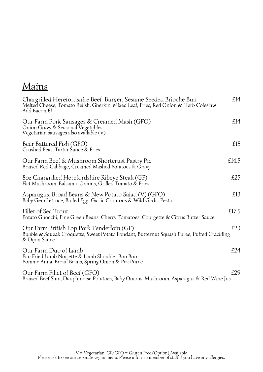| air |
|-----|
|     |

| Chargrilled Herefordshire Beef Burger, Sesame Seeded Brioche Bun<br>Melted Cheese, Tomato Relish, Gherkin, Mixed Leaf, Fries, Red Onion & Herb Coleslaw<br>Add Bacon £1 | £14   |
|-------------------------------------------------------------------------------------------------------------------------------------------------------------------------|-------|
| Our Farm Pork Sausages & Creamed Mash (GFO)<br>Onion Gravy & Seasonal Vegetables<br>Vegetarian sausages also available (V)                                              | £14   |
| Beer Battered Fish (GFO)<br>Crushed Peas, Tartar Sauce & Fries                                                                                                          | £15   |
| Our Farm Beef & Mushroom Shortcrust Pastry Pie<br>Braised Red Cabbage, Creamed Mashed Potatoes & Gravy                                                                  | £14.5 |
| 80z Chargrilled Herefordshire Ribeye Steak (GF)<br>Flat Mushroom, Balsamic Onions, Grilled Tomato & Fries                                                               | £25   |
| Asparagus, Broad Beans & New Potato Salad (V) (GFO)<br>Baby Gem Lettuce, Boiled Egg, Garlic Croutons & Wild Garlic Pesto                                                | £13   |
| Fillet of Sea Trout<br>Potato Gnocchi, Fine Green Beans, Cherry Tomatoes, Courgette & Citrus Butter Sauce                                                               | £17.5 |
| Our Farm British Lop Pork Tenderloin (GF)<br>Bubble & Squeak Croquette, Sweet Potato Fondant, Butternut Squash Puree, Puffed Crackling<br>& Dijon Sauce                 | £23   |
| Our Farm Duo of Lamb<br>Pan Fried Lamb Noisette & Lamb Shoulder Bon Bon<br>Pomme Anna, Broad Beans, Spring Onion & Pea Puree                                            | £24   |
| Our Farm Fillet of Beef (GFO)<br>Braised Beef Shin, Dauphinoise Potatoes, Baby Onions, Mushroom, Asparagus & Red Wine Jus                                               | £29   |